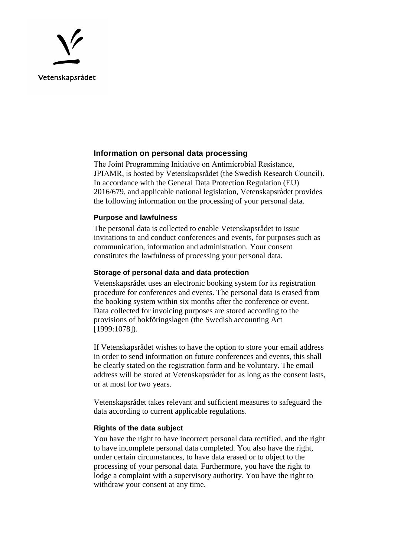

## **Information on personal data processing**

The Joint Programming Initiative on Antimicrobial Resistance, JPIAMR, is hosted by Vetenskapsrådet (the Swedish Research Council). In accordance with the General Data Protection Regulation (EU) 2016/679, and applicable national legislation, Vetenskapsrådet provides the following information on the processing of your personal data.

### **Purpose and lawfulness**

The personal data is collected to enable Vetenskapsrådet to issue invitations to and conduct conferences and events, for purposes such as communication, information and administration. Your consent constitutes the lawfulness of processing your personal data.

## **Storage of personal data and data protection**

Vetenskapsrådet uses an electronic booking system for its registration procedure for conferences and events. The personal data is erased from the booking system within six months after the conference or event. Data collected for invoicing purposes are stored according to the provisions of bokföringslagen (the Swedish accounting Act [1999:1078]).

If Vetenskapsrådet wishes to have the option to store your email address in order to send information on future conferences and events, this shall be clearly stated on the registration form and be voluntary. The email address will be stored at Vetenskapsrådet for as long as the consent lasts, or at most for two years.

Vetenskapsrådet takes relevant and sufficient measures to safeguard the data according to current applicable regulations.

## **Rights of the data subject**

You have the right to have incorrect personal data rectified, and the right to have incomplete personal data completed. You also have the right, under certain circumstances, to have data erased or to object to the processing of your personal data. Furthermore, you have the right to lodge a complaint with a supervisory authority. You have the right to withdraw your consent at any time.